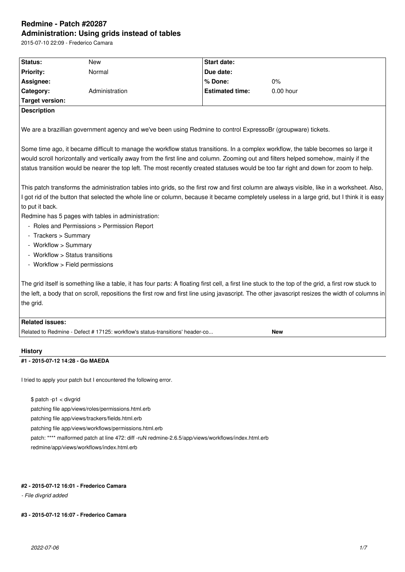# **Redmine - Patch #20287 Administration: Using grids instead of tables**

2015-07-10 22:09 - Frederico Camara

| Status:                                                | New                                                                                                                                 |  | <b>Start date:</b>     |                                                                                                                                                                                                                                                                                                          |  |  |  |  |
|--------------------------------------------------------|-------------------------------------------------------------------------------------------------------------------------------------|--|------------------------|----------------------------------------------------------------------------------------------------------------------------------------------------------------------------------------------------------------------------------------------------------------------------------------------------------|--|--|--|--|
| <b>Priority:</b>                                       | Normal                                                                                                                              |  | Due date:              |                                                                                                                                                                                                                                                                                                          |  |  |  |  |
| Assignee:                                              |                                                                                                                                     |  | % Done:                | 0%                                                                                                                                                                                                                                                                                                       |  |  |  |  |
| Category:                                              | Administration                                                                                                                      |  | <b>Estimated time:</b> | $0.00$ hour                                                                                                                                                                                                                                                                                              |  |  |  |  |
| <b>Target version:</b>                                 |                                                                                                                                     |  |                        |                                                                                                                                                                                                                                                                                                          |  |  |  |  |
| <b>Description</b>                                     |                                                                                                                                     |  |                        |                                                                                                                                                                                                                                                                                                          |  |  |  |  |
|                                                        | We are a brazillian government agency and we've been using Redmine to control ExpressoBr (groupware) tickets.                       |  |                        |                                                                                                                                                                                                                                                                                                          |  |  |  |  |
|                                                        |                                                                                                                                     |  |                        |                                                                                                                                                                                                                                                                                                          |  |  |  |  |
|                                                        |                                                                                                                                     |  |                        | Some time ago, it became difficult to manage the workflow status transitions. In a complex workflow, the table becomes so large it                                                                                                                                                                       |  |  |  |  |
|                                                        | would scroll horizontally and vertically away from the first line and column. Zooming out and filters helped somehow, mainly if the |  |                        |                                                                                                                                                                                                                                                                                                          |  |  |  |  |
|                                                        |                                                                                                                                     |  |                        | status transition would be nearer the top left. The most recently created statuses would be too far right and down for zoom to help.                                                                                                                                                                     |  |  |  |  |
|                                                        |                                                                                                                                     |  |                        |                                                                                                                                                                                                                                                                                                          |  |  |  |  |
|                                                        |                                                                                                                                     |  |                        | This patch transforms the administration tables into grids, so the first row and first column are always visible, like in a worksheet. Also,                                                                                                                                                             |  |  |  |  |
|                                                        |                                                                                                                                     |  |                        | I got rid of the button that selected the whole line or column, because it became completely useless in a large grid, but I think it is easy                                                                                                                                                             |  |  |  |  |
| to put it back.                                        |                                                                                                                                     |  |                        |                                                                                                                                                                                                                                                                                                          |  |  |  |  |
|                                                        | Redmine has 5 pages with tables in administration:                                                                                  |  |                        |                                                                                                                                                                                                                                                                                                          |  |  |  |  |
| - Roles and Permissions > Permission Report            |                                                                                                                                     |  |                        |                                                                                                                                                                                                                                                                                                          |  |  |  |  |
| - Trackers > Summary                                   |                                                                                                                                     |  |                        |                                                                                                                                                                                                                                                                                                          |  |  |  |  |
| - Workflow > Summary                                   |                                                                                                                                     |  |                        |                                                                                                                                                                                                                                                                                                          |  |  |  |  |
|                                                        | - Workflow > Status transitions                                                                                                     |  |                        |                                                                                                                                                                                                                                                                                                          |  |  |  |  |
|                                                        | - Workflow > Field permissions                                                                                                      |  |                        |                                                                                                                                                                                                                                                                                                          |  |  |  |  |
| the grid.                                              |                                                                                                                                     |  |                        | The grid itself is something like a table, it has four parts: A floating first cell, a first line stuck to the top of the grid, a first row stuck to<br>the left, a body that on scroll, repositions the first row and first line using javascript. The other javascript resizes the width of columns in |  |  |  |  |
| <b>Related issues:</b>                                 |                                                                                                                                     |  |                        |                                                                                                                                                                                                                                                                                                          |  |  |  |  |
|                                                        | Related to Redmine - Defect #17125: workflow's status-transitions' header-co<br>New                                                 |  |                        |                                                                                                                                                                                                                                                                                                          |  |  |  |  |
|                                                        |                                                                                                                                     |  |                        |                                                                                                                                                                                                                                                                                                          |  |  |  |  |
| <b>History</b>                                         |                                                                                                                                     |  |                        |                                                                                                                                                                                                                                                                                                          |  |  |  |  |
| #1 - 2015-07-12 14:28 - Go MAEDA                       |                                                                                                                                     |  |                        |                                                                                                                                                                                                                                                                                                          |  |  |  |  |
|                                                        | I tried to apply your patch but I encountered the following error.                                                                  |  |                        |                                                                                                                                                                                                                                                                                                          |  |  |  |  |
| $$$ patch -p1 < divgrid                                |                                                                                                                                     |  |                        |                                                                                                                                                                                                                                                                                                          |  |  |  |  |
| patching file app/views/roles/permissions.html.erb     |                                                                                                                                     |  |                        |                                                                                                                                                                                                                                                                                                          |  |  |  |  |
|                                                        | patching file app/views/trackers/fields.html.erb                                                                                    |  |                        |                                                                                                                                                                                                                                                                                                          |  |  |  |  |
| patching file app/views/workflows/permissions.html.erb |                                                                                                                                     |  |                        |                                                                                                                                                                                                                                                                                                          |  |  |  |  |
|                                                        | patch: **** malformed patch at line 472: diff -ruN redmine-2.6.5/app/views/workflows/index.html.erb                                 |  |                        |                                                                                                                                                                                                                                                                                                          |  |  |  |  |
| redmine/app/views/workflows/index.html.erb             |                                                                                                                                     |  |                        |                                                                                                                                                                                                                                                                                                          |  |  |  |  |
|                                                        |                                                                                                                                     |  |                        |                                                                                                                                                                                                                                                                                                          |  |  |  |  |
|                                                        |                                                                                                                                     |  |                        |                                                                                                                                                                                                                                                                                                          |  |  |  |  |
| #2 - 2015-07-12 16:01 - Frederico Camara               |                                                                                                                                     |  |                        |                                                                                                                                                                                                                                                                                                          |  |  |  |  |

*- File divgrid added*

**#3 - 2015-07-12 16:07 - Frederico Camara**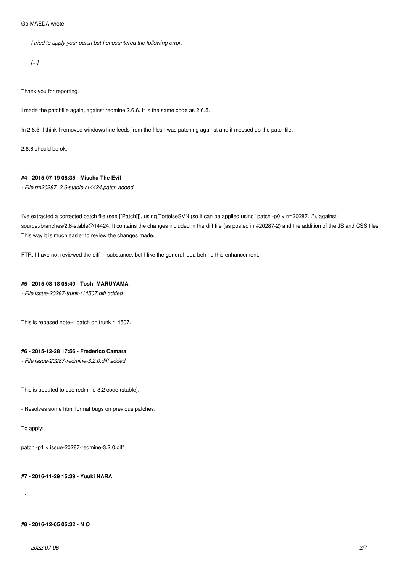Go MAEDA wrote:

*I tried to apply your patch but I encountered the following error.*

*[...]*

Thank you for reporting.

I made the patchfile again, against redmine 2.6.6. It is the same code as 2.6.5.

In 2.6.5, I think I removed windows line feeds from the files I was patching against and it messed up the patchfile.

2.6.6 should be ok.

# **#4 - 2015-07-19 08:35 - Mischa The Evil**

*- File rm20287\_2.6-stable.r14424.patch added*

I've extracted a corrected patch file (see [[Patch]]), using TortoiseSVN (so it can be applied using "patch -p0 < rm20287..."), against source:/branches/2.6-stable@14424. It contains the changes included in the diff file (as posted in #20287-2) and the addition of the JS and CSS files. This way it is much easier to review the changes made.

FTR: I have not reviewed the diff in substance, but I like the general idea behind this enhancement.

## **#5 - 2015-08-18 05:40 - Toshi MARUYAMA**

*- File issue-20287-trunk-r14507.diff added*

This is rebased note-4 patch on trunk r14507.

## **#6 - 2015-12-28 17:56 - Frederico Camara**

*- File issue-20287-redmine-3.2.0.diff added*

This is updated to use redmine-3.2 code (stable).

- Resolves some html format bugs on previous patches.

To apply:

patch -p1 < issue-20287-redmine-3.2.0.diff

### **#7 - 2016-11-29 15:39 - Yuuki NARA**

 $+1$ 

```
#8 - 2016-12-05 05:32 - N O
```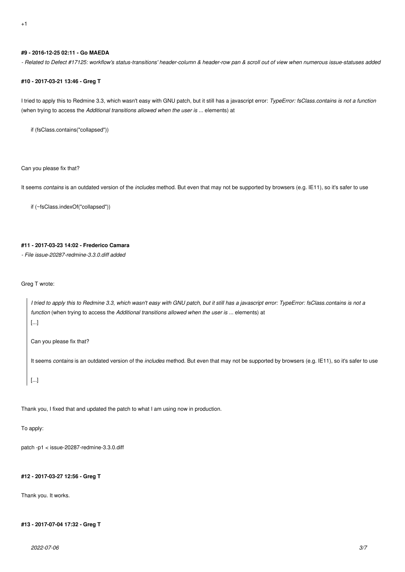### **#9 - 2016-12-25 02:11 - Go MAEDA**

*- Related to Defect #17125: workflow's status-transitions' header-column & header-row pan & scroll out of view when numerous issue-statuses added*

#### **#10 - 2017-03-21 13:46 - Greg T**

I tried to apply this to Redmine 3.3, which wasn't easy with GNU patch, but it still has a javascript error: *TypeError: fsClass.contains is not a function* (when trying to access the *Additional transitions allowed when the user is ...* elements) at

if (fsClass.contains("collapsed"))

Can you please fix that?

It seems *contains* is an outdated version of the *includes* method. But even that may not be supported by browsers (e.g. IE11), so it's safer to use

if (~fsClass.indexOf("collapsed"))

## **#11 - 2017-03-23 14:02 - Frederico Camara**

*- File issue-20287-redmine-3.3.0.diff added*

Greg T wrote:

*I tried to apply this to Redmine 3.3, which wasn't easy with GNU patch, but it still has a javascript error: TypeError: fsClass.contains is not a function* (when trying to access the *Additional transitions allowed when the user is ...* elements) at [...] Can you please fix that?

It seems *contains* is an outdated version of the *includes* method. But even that may not be supported by browsers (e.g. IE11), so it's safer to use

[...]

Thank you, I fixed that and updated the patch to what I am using now in production.

To apply:

patch -p1 < issue-20287-redmine-3.3.0.diff

#### **#12 - 2017-03-27 12:56 - Greg T**

Thank you. It works.

## **#13 - 2017-07-04 17:32 - Greg T**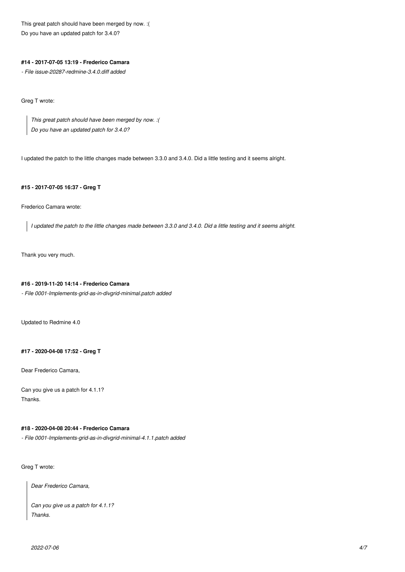This great patch should have been merged by now. :( Do you have an updated patch for 3.4.0?

## **#14 - 2017-07-05 13:19 - Frederico Camara**

*- File issue-20287-redmine-3.4.0.diff added*

Greg T wrote:

*This great patch should have been merged by now. :( Do you have an updated patch for 3.4.0?*

I updated the patch to the little changes made between 3.3.0 and 3.4.0. Did a little testing and it seems alright.

#### **#15 - 2017-07-05 16:37 - Greg T**

Frederico Camara wrote:

*I updated the patch to the little changes made between 3.3.0 and 3.4.0. Did a little testing and it seems alright.*

Thank you very much.

#### **#16 - 2019-11-20 14:14 - Frederico Camara**

*- File 0001-Implements-grid-as-in-divgrid-minimal.patch added*

Updated to Redmine 4.0

## **#17 - 2020-04-08 17:52 - Greg T**

Dear Frederico Camara,

Can you give us a patch for 4.1.1? Thanks.

## **#18 - 2020-04-08 20:44 - Frederico Camara**

*- File 0001-Implements-grid-as-in-divgrid-minimal-4.1.1.patch added*

Greg T wrote:

*Dear Frederico Camara,*

*Can you give us a patch for 4.1.1? Thanks.*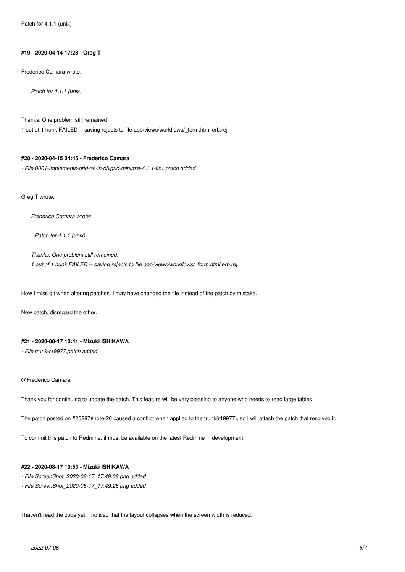Patch for 4.1.1 (unix)

#### **#19 - 2020-04-14 17:28 - Greg T**

Frederico Camara wrote:

*Patch for 4.1.1 (unix)*

Thanks. One problem still remained:

1 out of 1 hunk FAILED -- saving rejects to file app/views/workflows/\_form.html.erb.rej

#### **#20 - 2020-04-15 04:45 - Frederico Camara**

*- File 0001-Implements-grid-as-in-divgrid-minimal-4.1.1-fix1.patch added*

Greg T wrote:

*Frederico Camara wrote:*

*Patch for 4.1.1 (unix)*

*Thanks. One problem still remained:*

*1 out of 1 hunk FAILED -- saving rejects to file app/views/workflows/\_form.html.erb.rej*

How I miss git when altering patches. I may have changed the file instead of the patch by mistake.

New patch, disregard the other.

#### **#21 - 2020-08-17 10:41 - Mizuki ISHIKAWA**

*- File trunk-r19977.patch added*

#### @Frederico Camara

Thank you for continuing to update the patch. This feature will be very pleasing to anyone who needs to read large tables.

The patch posted on #20287#note-20 caused a conflict when applied to the trunk(r19977), so I will attach the patch that resolved it.

To commit this patch to Redmine, it must be available on the latest Redmine in development.

#### **#22 - 2020-08-17 10:53 - Mizuki ISHIKAWA**

- *File ScreenShot\_2020-08-17\_17.49.08.png added*
- *File ScreenShot\_2020-08-17\_17.49.28.png added*

I haven't read the code yet, I noticed that the layout collapses when the screen width is reduced.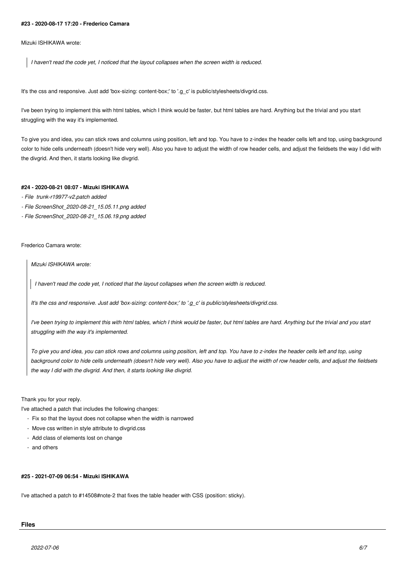#### **#23 - 2020-08-17 17:20 - Frederico Camara**

Mizuki ISHIKAWA wrote:

*I haven't read the code yet, I noticed that the layout collapses when the screen width is reduced.*

It's the css and responsive. Just add 'box-sizing: content-box;' to '.g\_c' is public/stylesheets/divgrid.css.

I've been trying to implement this with html tables, which I think would be faster, but html tables are hard. Anything but the trivial and you start struggling with the way it's implemented.

To give you and idea, you can stick rows and columns using position, left and top. You have to z-index the header cells left and top, using background color to hide cells underneath (doesn't hide very well). Also you have to adjust the width of row header cells, and adjust the fieldsets the way I did with the divgrid. And then, it starts looking like divgrid.

### **#24 - 2020-08-21 08:07 - Mizuki ISHIKAWA**

- *File trunk-r19977-v2.patch added*
- *File ScreenShot\_2020-08-21\_15.05.11.png added*
- *File ScreenShot\_2020-08-21\_15.06.19.png added*

Frederico Camara wrote:

*Mizuki ISHIKAWA wrote:*

*I haven't read the code yet, I noticed that the layout collapses when the screen width is reduced.*

*It's the css and responsive. Just add 'box-sizing: content-box;' to '.g\_c' is public/stylesheets/divgrid.css.*

*I've been trying to implement this with html tables, which I think would be faster, but html tables are hard. Anything but the trivial and you start struggling with the way it's implemented.*

*To give you and idea, you can stick rows and columns using position, left and top. You have to z-index the header cells left and top, using background color to hide cells underneath (doesn't hide very well). Also you have to adjust the width of row header cells, and adjust the fieldsets the way I did with the divgrid. And then, it starts looking like divgrid.*

Thank you for your reply.

I've attached a patch that includes the following changes:

- Fix so that the layout does not collapse when the width is narrowed
- Move css written in style attribute to divgrid.css
- Add class of elements lost on change
- and others

## **#25 - 2021-07-09 06:54 - Mizuki ISHIKAWA**

I've attached a patch to #14508#note-2 that fixes the table header with CSS (position: sticky).

#### **Files**